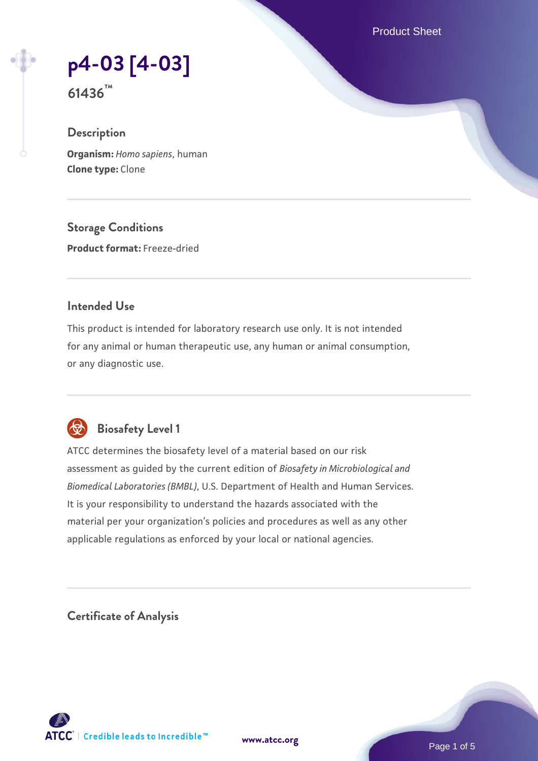Product Sheet

**[p4-03 \[4-03\]](https://www.atcc.org/products/61436)**

**61436™**

# **Description**

**Organism:** *Homo sapiens*, human **Clone type:** Clone

**Storage Conditions**

**Product format:** Freeze-dried

# **Intended Use**

This product is intended for laboratory research use only. It is not intended for any animal or human therapeutic use, any human or animal consumption, or any diagnostic use.



# **Biosafety Level 1**

ATCC determines the biosafety level of a material based on our risk assessment as guided by the current edition of *Biosafety in Microbiological and Biomedical Laboratories (BMBL)*, U.S. Department of Health and Human Services. It is your responsibility to understand the hazards associated with the material per your organization's policies and procedures as well as any other applicable regulations as enforced by your local or national agencies.

**Certificate of Analysis**

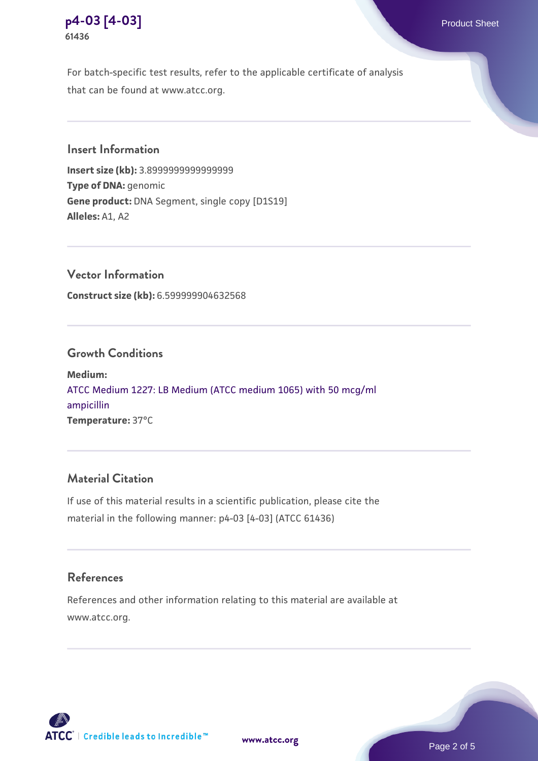

For batch-specific test results, refer to the applicable certificate of analysis that can be found at www.atcc.org.

# **Insert Information**

**Insert size (kb):** 3.8999999999999999 **Type of DNA:** genomic **Gene product:** DNA Segment, single copy [D1S19] **Alleles:** A1, A2

**Vector Information Construct size (kb):** 6.599999904632568

### **Growth Conditions**

**Medium:**  [ATCC Medium 1227: LB Medium \(ATCC medium 1065\) with 50 mcg/ml](https://www.atcc.org/-/media/product-assets/documents/microbial-media-formulations/1/2/2/7/atcc-medium-1227.pdf?rev=581c98603b3e4b29a6d62ee0ba9ca578) [ampicillin](https://www.atcc.org/-/media/product-assets/documents/microbial-media-formulations/1/2/2/7/atcc-medium-1227.pdf?rev=581c98603b3e4b29a6d62ee0ba9ca578) **Temperature:** 37°C

### **Material Citation**

If use of this material results in a scientific publication, please cite the material in the following manner: p4-03 [4-03] (ATCC 61436)

### **References**

References and other information relating to this material are available at www.atcc.org.



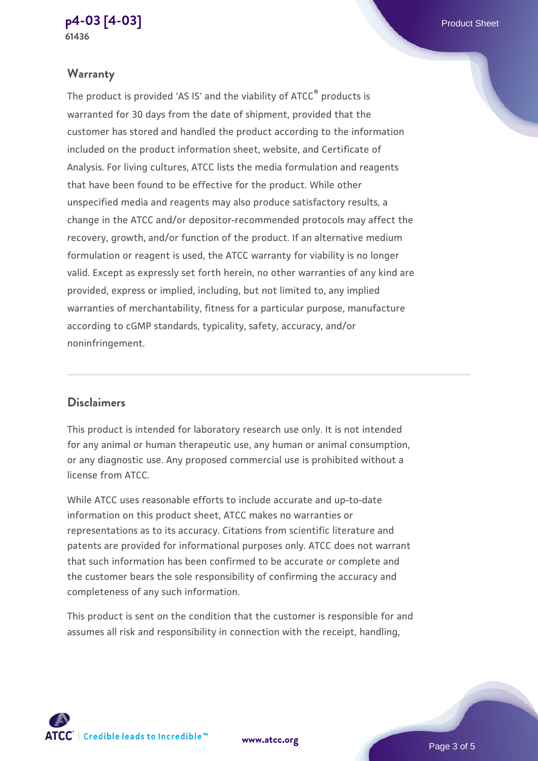#### **[p4-03 \[4-03\]](https://www.atcc.org/products/61436)** Product Sheet **61436**

# **Warranty**

The product is provided 'AS IS' and the viability of ATCC® products is warranted for 30 days from the date of shipment, provided that the customer has stored and handled the product according to the information included on the product information sheet, website, and Certificate of Analysis. For living cultures, ATCC lists the media formulation and reagents that have been found to be effective for the product. While other unspecified media and reagents may also produce satisfactory results, a change in the ATCC and/or depositor-recommended protocols may affect the recovery, growth, and/or function of the product. If an alternative medium formulation or reagent is used, the ATCC warranty for viability is no longer valid. Except as expressly set forth herein, no other warranties of any kind are provided, express or implied, including, but not limited to, any implied warranties of merchantability, fitness for a particular purpose, manufacture according to cGMP standards, typicality, safety, accuracy, and/or noninfringement.

### **Disclaimers**

This product is intended for laboratory research use only. It is not intended for any animal or human therapeutic use, any human or animal consumption, or any diagnostic use. Any proposed commercial use is prohibited without a license from ATCC.

While ATCC uses reasonable efforts to include accurate and up-to-date information on this product sheet, ATCC makes no warranties or representations as to its accuracy. Citations from scientific literature and patents are provided for informational purposes only. ATCC does not warrant that such information has been confirmed to be accurate or complete and the customer bears the sole responsibility of confirming the accuracy and completeness of any such information.

This product is sent on the condition that the customer is responsible for and assumes all risk and responsibility in connection with the receipt, handling,



**[www.atcc.org](http://www.atcc.org)**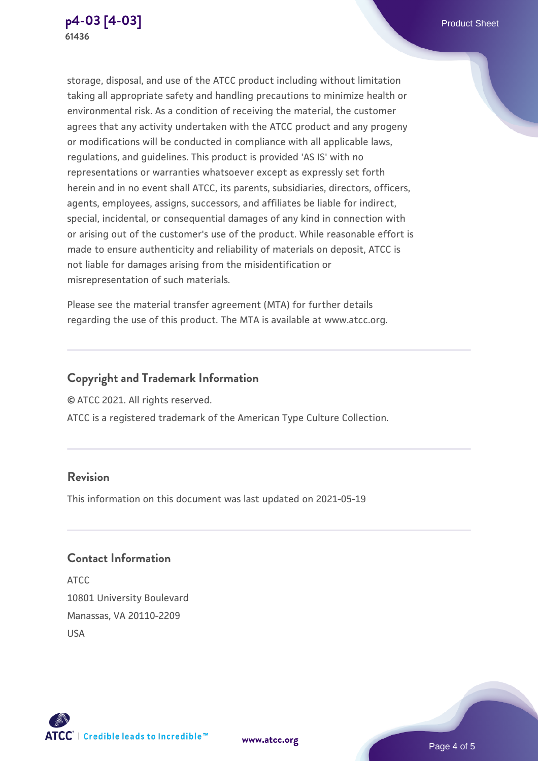

storage, disposal, and use of the ATCC product including without limitation taking all appropriate safety and handling precautions to minimize health or environmental risk. As a condition of receiving the material, the customer agrees that any activity undertaken with the ATCC product and any progeny or modifications will be conducted in compliance with all applicable laws, regulations, and guidelines. This product is provided 'AS IS' with no representations or warranties whatsoever except as expressly set forth herein and in no event shall ATCC, its parents, subsidiaries, directors, officers, agents, employees, assigns, successors, and affiliates be liable for indirect, special, incidental, or consequential damages of any kind in connection with or arising out of the customer's use of the product. While reasonable effort is made to ensure authenticity and reliability of materials on deposit, ATCC is not liable for damages arising from the misidentification or misrepresentation of such materials.

Please see the material transfer agreement (MTA) for further details regarding the use of this product. The MTA is available at www.atcc.org.

# **Copyright and Trademark Information**

© ATCC 2021. All rights reserved.

ATCC is a registered trademark of the American Type Culture Collection.

# **Revision**

This information on this document was last updated on 2021-05-19

# **Contact Information**

ATCC 10801 University Boulevard Manassas, VA 20110-2209 USA